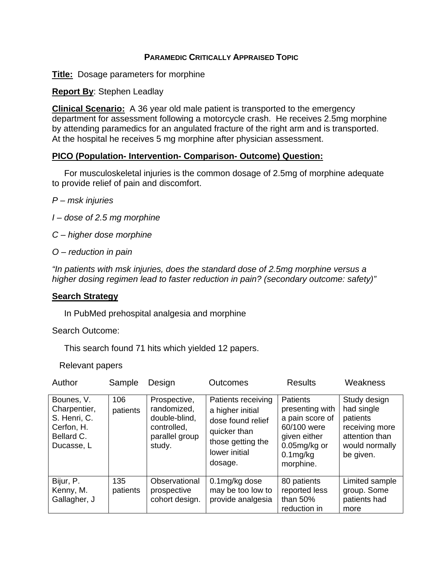# **PARAMEDIC CRITICALLY APPRAISED TOPIC**

**Title:** Dosage parameters for morphine

**Report By**: Stephen Leadlay

**Clinical Scenario:** A 36 year old male patient is transported to the emergency department for assessment following a motorcycle crash. He receives 2.5mg morphine by attending paramedics for an angulated fracture of the right arm and is transported. At the hospital he receives 5 mg morphine after physician assessment.

# **PICO (Population- Intervention- Comparison- Outcome) Question:**

 For musculoskeletal injuries is the common dosage of 2.5mg of morphine adequate to provide relief of pain and discomfort.

- *P msk injuries*
- *I dose of 2.5 mg morphine*
- *C higher dose morphine*
- *O reduction in pain*

*"In patients with msk injuries, does the standard dose of 2.5mg morphine versus a higher dosing regimen lead to faster reduction in pain? (secondary outcome: safety)"* 

# **Search Strategy**

In PubMed prehospital analgesia and morphine

Search Outcome:

This search found 71 hits which yielded 12 papers.

Relevant papers

| Author                                                                               | Sample          | Design                                                                                  | <b>Outcomes</b>                                                                                                              | <b>Results</b>                                                                                                               | Weakness                                                                                                  |
|--------------------------------------------------------------------------------------|-----------------|-----------------------------------------------------------------------------------------|------------------------------------------------------------------------------------------------------------------------------|------------------------------------------------------------------------------------------------------------------------------|-----------------------------------------------------------------------------------------------------------|
| Bounes, V.<br>Charpentier,<br>S. Henri, C.<br>Cerfon, H.<br>Bellard C.<br>Ducasse, L | 106<br>patients | Prospective,<br>randomized,<br>double-blind,<br>controlled,<br>parallel group<br>study. | Patients receiving<br>a higher initial<br>dose found relief<br>quicker than<br>those getting the<br>lower initial<br>dosage. | Patients<br>presenting with<br>a pain score of<br>60/100 were<br>given either<br>$0.05$ mg/kg or<br>$0.1$ mg/kg<br>morphine. | Study design<br>had single<br>patients<br>receiving more<br>attention than<br>would normally<br>be given. |
| Bijur, P.<br>Kenny, M.<br>Gallagher, J                                               | 135<br>patients | Observational<br>prospective<br>cohort design.                                          | 0.1mg/kg dose<br>may be too low to<br>provide analgesia                                                                      | 80 patients<br>reported less<br>than 50%<br>reduction in                                                                     | Limited sample<br>group. Some<br>patients had<br>more                                                     |